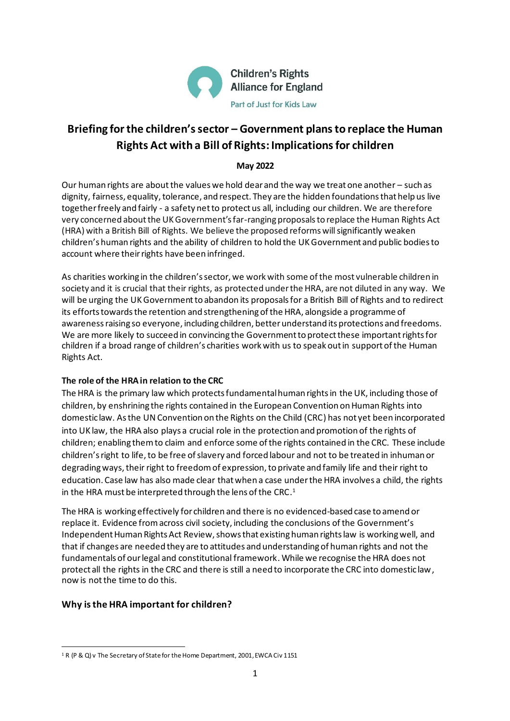

# **Briefing for the children's sector – Government plans to replace the Human Rights Act with a Bill of Rights: Implications for children**

## **May 2022**

Our human rights are about the values we hold dear and the way we treat one another – such as dignity, fairness, equality, tolerance, and respect. They are the hidden foundations that help us live together freely and fairly - a safety net to protect us all, including our children. We are therefore very concerned about the UK Government's far-ranging proposals to replace the Human Rights Act (HRA) with a British Bill of Rights. We believe the proposed reforms will significantly weaken children's human rights and the ability of children to hold the UK Government and public bodies to account where their rights have been infringed.

As charities working in the children's sector, we work with some of the most vulnerable children in society and it is crucial that their rights, as protected under the HRA, are not diluted in any way. We will be urging the UK Government to abandon its proposals for a British Bill of Rights and to redirect its efforts towards the retention and strengthening of the HRA, alongside a programme of awareness raising so everyone, including children, better understand its protections and freedoms. We are more likely to succeed in convincing the Government to protect these important rights for children if a broad range of children's charities work with us to speak out in support of the Human Rights Act.

## **The role of the HRA in relation to the CRC**

The HRA is the primary law which protects fundamental human rights in the UK, including those of children, by enshrining the rights contained in the European Convention on Human Rights into domestic law. As the UN Convention on the Rights on the Child (CRC) has not yet been incorporated into UK law, the HRA also plays a crucial role in the protection and promotion of the rights of children; enabling them to claim and enforce some of the rights contained in the CRC. These include children's right to life, to be free of slavery and forced labour and not to be treated in inhuman or degrading ways, their right to freedom of expression, to private and family life and their right to education. Case law has also made clear that when a case under the HRA involves a child, the rights in the HRA must be interpreted through the lens of the CRC. $^{\rm 1}$ 

The HRA is working effectively for children and there is no evidenced-based case to amend or replace it. Evidence from across civil society, including the conclusions of the Government's Independent Human Rights Act Review, shows that existing human rights law is working well, and that if changes are needed they are to attitudes and understanding of human rights and not the fundamentals of our legal and constitutional framework.While we recognise the HRA does not protect all the rights in the CRC and there is still a need to incorporate the CRC into domestic law, now is not the time to do this.

## **Why is the HRA important for children?**

<sup>&</sup>lt;sup>1</sup> R (P & Q) v The Secretary of State for the Home Department, 2001, EWCA Civ 1151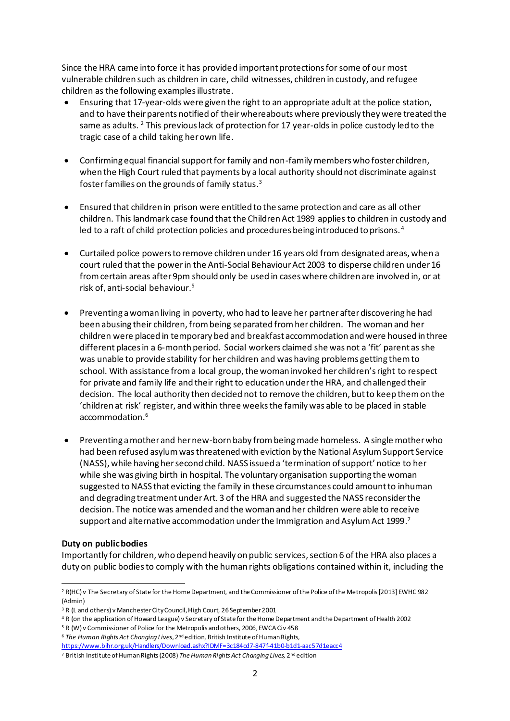Since the HRA came into force it has provided important protections for some of our most vulnerable children such as children in care, child witnesses, children in custody, and refugee children as the following examples illustrate.

- Ensuring that 17-year-olds were given the right to an appropriate adult at the police station, and to have their parents notified of their whereabouts where previously they were treated the same as adults.  $2$  This previous lack of protection for 17 year-olds in police custody led to the tragic case of a child taking her own life.
- Confirming equal financial support for family and non-family members who foster children, when the High Court ruled that payments by a local authority should not discriminate against foster families on the grounds of family status. $^{\rm 3}$
- Ensured that children in prison were entitled to the same protection and care as all other children. This landmark case found that the Children Act 1989 applies to children in custody and led to a raft of child protection policies and procedures being introduced to prisons. <sup>4</sup>
- Curtailed police powers to remove children under 16 years old from designated areas, when a court ruled that the power in the Anti-Social Behaviour Act 2003 to disperse children under 16 from certain areas after 9pm should only be used in cases where children are involved in, or at risk of, anti-social behaviour. 5
- Preventing a woman living in poverty, who had to leave her partner after discovering he had been abusing their children, from being separated from her children. The woman and her children were placed in temporary bed and breakfast accommodation and were housed in three different places in a 6-month period. Social workers claimed she was not a 'fit' parent as she was unable to provide stability for her children and was having problems getting them to school. With assistance from a local group, the woman invoked her children's right to respect for private and family life and their right to education under the HRA, and challenged their decision. The local authority then decided not to remove the children, but to keep them on the 'children at risk' register, and within three weeks the family was able to be placed in stable accommodation. 6
- Preventing a mother and her new-born baby from being made homeless. A single mother who had been refused asylum was threatened with eviction by the National Asylum Support Service (NASS), while having her second child. NASS issued a 'termination of support' notice to her while she was giving birth in hospital. The voluntary organisation supporting the woman suggested to NASS that evicting the family in these circumstances could amount to inhuman and degrading treatment under Art. 3 of the HRA and suggested the NASS reconsider the decision. The notice was amended and the woman and her children were able to receive support and alternative accommodation under the Immigration and Asylum Act 1999. $^{\text{7}}$

#### **Duty on public bodies**

Importantly for children, who depend heavily on public services, section 6 of the HRA also places a duty on public bodies to comply with the human rights obligations contained within it, including the

<sup>&</sup>lt;sup>2</sup> R(HC) v The Secretary of State for the Home Department, and the Commissioner of the Police of the Metropolis [2013] EWHC 982 (Admin)

<sup>&</sup>lt;sup>3</sup> R (L and others) v Manchester City Council, High Court, 26 September 2001

<sup>4</sup> R (on the application of Howard League) v Secretary of State for the Home Department and the Department of Health 2002

<sup>5</sup> R (W) v Commissioner of Police for the Metropolis and others, 2006, EWCA Civ 458

<sup>&</sup>lt;sup>6</sup> The Human Rights Act Changing Lives, 2<sup>nd</sup> edition, British Institute of Human Rights,

<https://www.bihr.org.uk/Handlers/Download.ashx?IDMF=3c184cd7-847f-41b0-b1d1-aac57d1eacc4>

<sup>&</sup>lt;sup>7</sup> British Institute of Human Rights (2008) *The Human Rights Act Changing Lives,* 2<sup>nd</sup> edition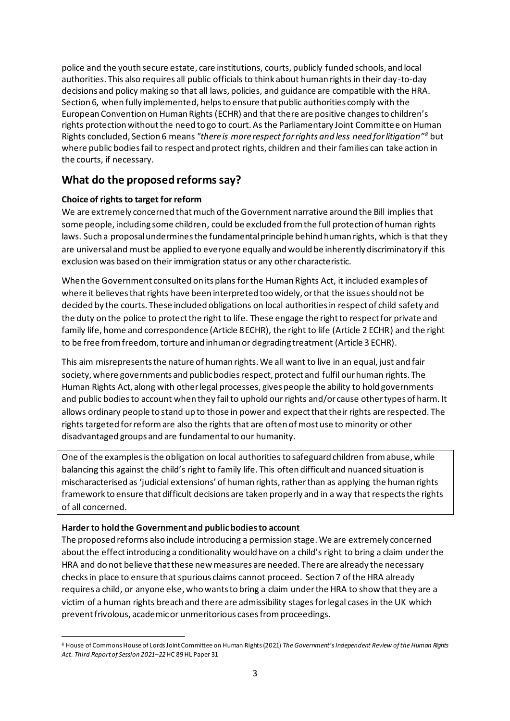police and the youth secure estate, care institutions, courts, publicly funded schools, and local authorities. This also requires all public officials to think about human rights in their day-to-day decisions and policy making so that all laws, policies, and guidance are compatible with the HRA. Section 6, when fully implemented, helps to ensure that public authorities comply with the European Convention on Human Rights (ECHR) and that there are positive changes to children's rights protection without the need to go to court. As the Parliamentary Joint Committee on Human Rights concluded, Section 6 means *"there is more respect for rights and less need for litigation"<sup>8</sup>* but where public bodies fail to respect and protect rights, children and their families can take action in the courts, if necessary.

## **What do the proposed reforms say?**

## **Choice of rights to target for reform**

We are extremely concerned that much of the Government narrative around the Bill implies that some people, including some children, could be excluded from the full protection of human rights laws. Such a proposal undermines the fundamental principle behind human rights, which is that they are universal and must be applied to everyone equally and would be inherently discriminatory if this exclusion was based on their immigration status or any other characteristic.

When the Government consulted on its plans for the Human Rights Act, it included examples of where it believes that rights have been interpreted too widely, or that the issues should not be decided by the courts. These included obligations on local authorities in respect of child safety and the duty on the police to protect the right to life. These engage the right to respect for private and family life, home and correspondence (Article 8 ECHR), the right to life (Article 2 ECHR) and the right to be free from freedom, torture and inhuman or degrading treatment (Article 3 ECHR).

This aim misrepresents the nature of human rights. We all want to live in an equal, just and fair society, where governments and public bodies respect, protect and fulfil our human rights. The Human Rights Act, along with other legal processes, gives people the ability to hold governments and public bodies to account when they fail to uphold our rights and/or cause other types of harm. It allows ordinary people to stand up to those in power and expect that their rights are respected. The rights targeted for reform are also the rights that are often of most use to minority or other disadvantaged groups and are fundamental to our humanity.

One of the examples is the obligation on local authorities to safeguard children from abuse, while balancing this against the child's right to family life. This often difficult and nuanced situation is mischaracterised as 'judicial extensions' of human rights, rather than as applying the human rights framework to ensure that difficult decisions are taken properly and in a way that respects the rights of all concerned.

## **Harder to hold the Government and public bodies to account**

The proposed reforms also include introducing a permission stage. We are extremely concerned about the effect introducing a conditionality would have on a child's right to bring a claim under the HRA and do not believe that these new measures are needed. There are already the necessary checks in place to ensure that spurious claims cannot proceed. Section 7 of the HRA already requires a child, or anyone else, who wants to bring a claim under the HRA to show that they are a victim of a human rights breach and there are admissibility stages for legal cases in the UK which prevent frivolous, academic or unmeritorious cases from proceedings.

<sup>8</sup> House of Commons House of Lords Joint Committee on Human Rights (2021) *The Government's Independent Review of the Human Rights Act. Third Report of Session 2021–22*HC 89 HL Paper 31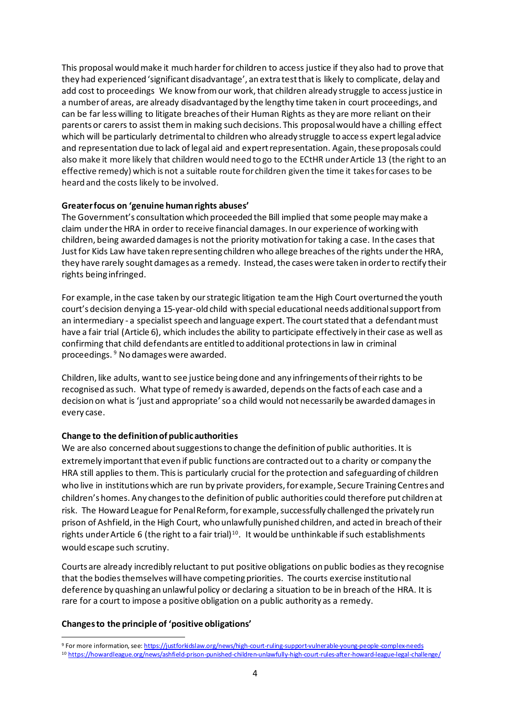This proposal would make it much harder for children to access justice if they also had to prove that they had experienced 'significant disadvantage', an extra test that is likely to complicate, delay and add cost to proceedings We know from our work, that children already struggle to access justice in a number of areas, are already disadvantaged by the lengthy time taken in court proceedings, and can be far less willing to litigate breaches of their Human Rights as they are more reliant on their parents or carers to assist them in making such decisions. This proposal would have a chilling effect which will be particularly detrimental to children who already struggle to access expert legal advice and representation due to lack of legal aid and expert representation. Again, these proposals could also make it more likely that children would need to go to the ECtHR under Article 13 (the right to an effective remedy) which is not a suitable route for children given the time it takes for cases to be heard and the costs likely to be involved.

#### **Greater focus on 'genuine human rights abuses'**

The Government's consultation which proceeded the Bill implied that some people may make a claim under the HRA in order to receive financial damages. In our experience of working with children, being awarded damages is not the priority motivation for taking a case. In the cases that Just for Kids Law have taken representing children who allege breaches of the rights under the HRA, they have rarely sought damages as a remedy. Instead, the cases were taken in order to rectify their rights being infringed.

For example, in the case taken by our strategic litigation team the High Court overturned the youth court's decision denying a 15-year-old child with special educational needs additional support from an intermediary - a specialist speech and language expert. The court stated that a defendant must have a fair trial (Article 6), which includes the ability to participate effectively in their case as well as confirming that child defendants are entitled to additional protections in law in criminal proceedings. <sup>9</sup> No damages were awarded.

Children, like adults, want to see justice being done and any infringements of their rights to be recognised as such. What type of remedy is awarded, depends on the facts of each case and a decision on what is 'just and appropriate' so a child would not necessarily be awarded damages in every case.

## **Change to the definition of public authorities**

We are also concerned about suggestions to change the definition of public authorities. It is extremely important that even if public functions are contracted out to a charity or company the HRA still applies to them. This is particularly crucial for the protection and safeguarding of children who live in institutions which are run by private providers, for example, Secure Training Centres and children's homes. Any changes to the definition of public authorities could therefore put children at risk. The Howard League for Penal Reform, for example, successfully challenged the privately run prison of Ashfield, in the High Court, who unlawfully punished children, and acted in breach of their rights under Article 6 (the right to a fair trial)<sup>10</sup>. It would be unthinkable if such establishments would escape such scrutiny.

Courts are already incredibly reluctant to put positive obligations on public bodies as they recognise that the bodies themselves will have competing priorities. The courts exercise institutional deference by quashing an unlawful policy or declaring a situation to be in breach of the HRA. It is rare for a court to impose a positive obligation on a public authority as a remedy.

## **Changes to the principle of 'positive obligations'**

<sup>9</sup> For more information, se[e: https://justforkidslaw.org/news/high-court-ruling-support-vulnerable-young-people-complex-needs](https://justforkidslaw.org/news/high-court-ruling-support-vulnerable-young-people-complex-needs)

<sup>10</sup> <https://howardleague.org/news/ashfield-prison-punished-children-unlawfully-high-court-rules-after-howard-league-legal-challenge/>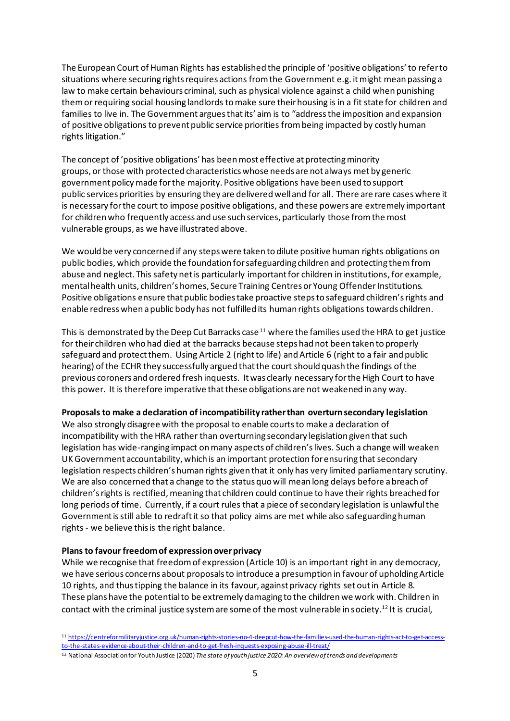The European Court of Human Rights has established the principle of 'positive obligations' to refer to situations where securing rights requires actions from the Government e.g. it might mean passing a law to make certain behaviours criminal, such as physical violence against a child when punishing themor requiring social housing landlords to make sure their housing is in a fit state for children and families to live in. The Government argues that its' aim is to "address the imposition and expansion of positive obligations to prevent public service priorities from being impacted by costly human rights litigation."

The concept of 'positive obligations' has been most effective at protecting minority groups, or those with protected characteristics whose needs are not always met by generic government policy made for the majority. Positive obligations have been used to support public services priorities by ensuring they are delivered well and for all. There are rare cases where it is necessary for the court to impose positive obligations, and these powers are extremely important for children who frequently access and use such services, particularly those from the most vulnerable groups, as we have illustrated above.

We would be very concerned if any steps were taken to dilute positive human rights obligations on public bodies, which provide the foundation for safeguarding children and protecting them from abuse and neglect. This safety net is particularly important for children in institutions, for example, mental health units, children's homes, Secure Training Centres or Young Offender Institutions. Positive obligations ensure that public bodies take proactive steps to safeguard children's rights and enable redress when a public body has not fulfilled its human rights obligations towards children.

This is demonstrated by the Deep Cut Barracks case<sup>11</sup> where the families used the HRA to get justice for their children who had died at the barracks because steps had not been taken to properly safeguard and protect them. Using Article 2 (right to life) and Article 6 (right to a fair and public hearing) of the ECHR they successfully argued that the court should quash the findings of the previous coroners and ordered fresh inquests. It was clearly necessary for the High Court to have this power. It is therefore imperative that these obligations are not weakened in any way.

#### **Proposals to make a declaration of incompatibility rather than overturn secondary legislation**

We also strongly disagree with the proposal to enable courts to make a declaration of incompatibility with the HRA rather than overturning secondary legislation given that such legislation has wide-ranging impact on many aspects of children's lives. Such a change will weaken UK Government accountability, which is an important protection for ensuring that secondary legislation respects children's human rights given that it only has very limited parliamentary scrutiny. We are also concerned that a change to the status quo will mean long delays before a breach of children's rights is rectified, meaning that children could continue to have their rights breached for long periods of time. Currently, if a court rules that a piece of secondary legislation is unlawful the Government is still able to redraft it so that policy aims are met while also safeguarding human rights - we believe this is the right balance.

## **Plans to favour freedom of expression over privacy**

While we recognise that freedom of expression (Article 10) is an important right in any democracy, we have serious concerns about proposals to introduce a presumption in favour of upholding Article 10 rights, and thus tipping the balance in its favour, against privacy rights set out in Article 8. These plans have the potential to be extremely damaging to the children we work with. Children in contact with the criminal justice system are some of the most vulnerable in society.<sup>12</sup> It is crucial,

<sup>11</sup> [https://centreformilitaryjustice.org.uk/human-rights-stories-no-4-deepcut-how-the-families-used-the-human-rights-act-to-get-access](https://centreformilitaryjustice.org.uk/human-rights-stories-no-4-deepcut-how-the-families-used-the-human-rights-act-to-get-access-to-the-states-evidence-about-their-children-and-to-get-fresh-inquests-exposing-abuse-ill-treat/)[to-the-states-evidence-about-their-children-and-to-get-fresh-inquests-exposing-abuse-ill-treat/](https://centreformilitaryjustice.org.uk/human-rights-stories-no-4-deepcut-how-the-families-used-the-human-rights-act-to-get-access-to-the-states-evidence-about-their-children-and-to-get-fresh-inquests-exposing-abuse-ill-treat/)

<sup>12</sup> National Association for Youth Justice (2020) *The state of youth justice 2020: An overview of trends and developments*